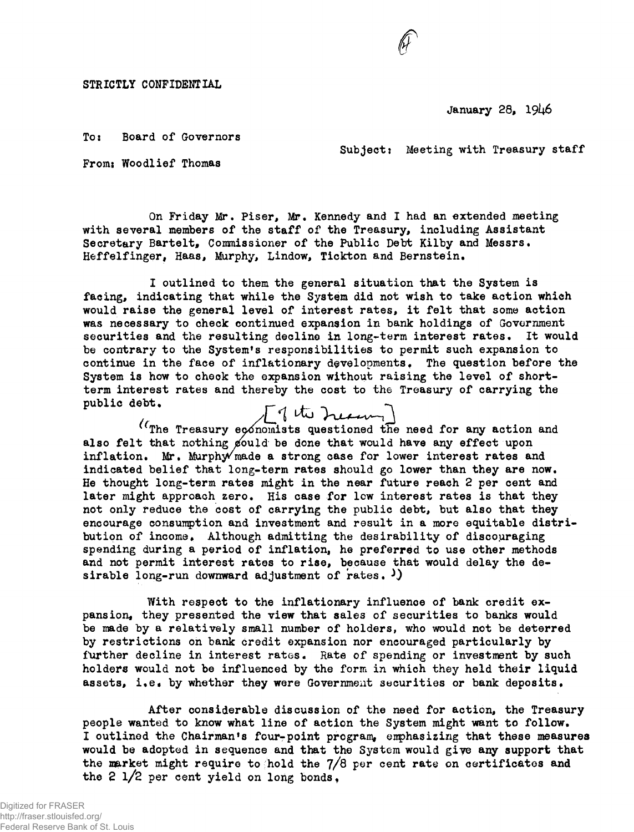STRICTLY CONFIDENTIAL

January 28, 1946

To: Board of Governors

Subject: Meeting with Treasury staff

**F** 

From: Woodlief Thomas

On Friday Mr, Piser, Mr. Kennedy and I had an extended meeting with several members of the staff of the Treasury, including Assistant Secretary Bartelt, Commissioner of the Public Debt Kilby and Messrs. Heffelfinger, Haas, Murphy, Lindow, Tickton and Bernstein.

I outlined to them the general situation that the System is facing, indicating that while the System did not wish to take action which would raise the general level of interest rates, it felt that some action was necessary to check continued expansion in bank holdings of Government securities and the resulting decline in long-term interest rates. It would be contrary to the System's responsibilities to permit such expansion to continue in the face of inflationary developments. The question before the System is how to check the expansion without raising the level of shortterm interest rates and thereby the cost to the Treasury of carrying the public debt.

obli.<br>(The Treasury economists questioned the need for any action and also felt that nothing gould be done that would have any effect upon inflation. Mr. Murphy $\sqrt{m}$ ade a strong case for lower interest rates and indicated belief that long-term rates should go lower than they are now. He thought long-term rates might in the near future reach 2 per cent and later might approach zero. His case for low interest rates is that they not only reduce the cost of carrying the public debt, but also that they encourage consumption and investment and result in a more equitable distribution of income. Although admitting the desirability of discouraging spending during a period of inflation, he preferred to use other methods and not permit interest rates to rise, because that would delay the desirable long-run downward adjustment of rates.  $\mathcal{V}$ 

With respect to the inflationary influence of bank credit expansion, they presented the view that sales of securities to banks would be made by a relatively small number of holders, who would not be deterred by restrictions on bank credit expansion nor encouraged particularly by further decline in interest rates. Rate of spending or investment by such holders would not be influenced by the form in which they held their liquid assets, i.e. by whether they were Government securities or bank deposits.

After considerable discussion of the need for action, the Treasury people wanted to know what line of action the System might want to follow. I outlined the Chairman's four-point program, emphasizing that these measures would be adopted in sequence and that the System would giye any support that the market might require to hold the *j/8* per cent rate on certificates and the 2  $1/2$  per cent yield on long bonds.